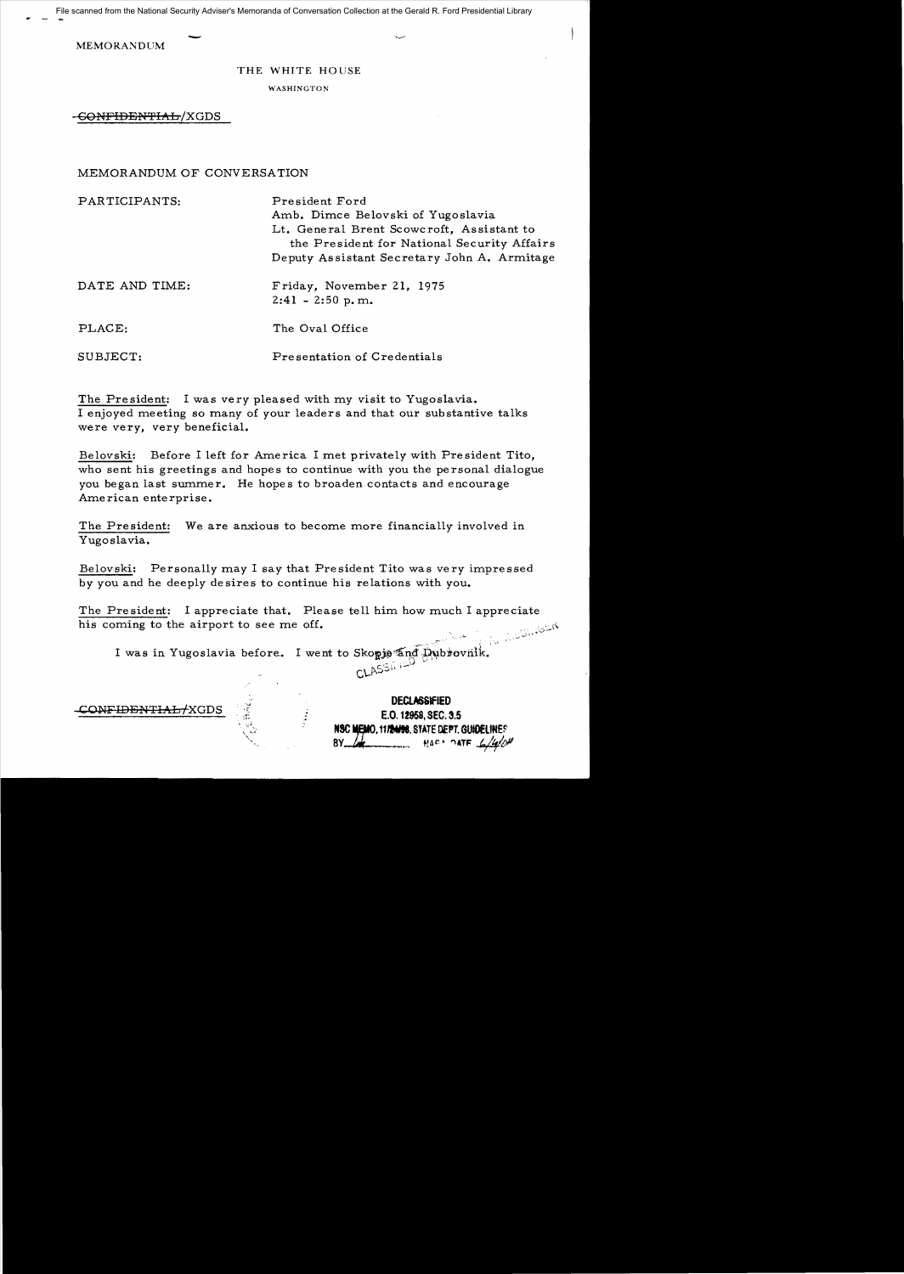$\cdot$  -  $\cdot$  -File scanned from the National Security Adviser's Memoranda of Conversation Collection at the Gerald R. Ford Presidential Library

**MEMORANDUM** 

## THE WHITE HOUSE

WASHINGTON

GONFIDENTIAL / XGDS

MEMORANDUM OF CONVERSATION

| PARTICIPANTS:  | President Ford<br>Amb. Dimce Belovski of Yugoslavia<br>Lt. General Brent Scowcroft, Assistant to<br>the President for National Security Affairs<br>Deputy Assistant Secretary John A. Armitage |
|----------------|------------------------------------------------------------------------------------------------------------------------------------------------------------------------------------------------|
| DATE AND TIME: | Friday, November 21, 1975<br>$2:41 - 2:50$ p.m.                                                                                                                                                |
| PLACE:         | The Oval Office                                                                                                                                                                                |
| SUBJECT:       | Presentation of Credentials                                                                                                                                                                    |

The President: I was very pleased with my visit to Yugoslavia. I enjoyed meeting so many of your leaders and that our substantive talks were very. very beneficial.

Belovski: Before I left for America I met privately with President Tito, who sent his greetings and hopes to continue with you the personal dialogue you began last summer. He hopes to broaden contacts and encourage American enterprise.

The President: We are anxious to become more financially involved in Yugoslavia.

Belovski: Personally may I say that President Tito was very impressed by you and he deeply desires to continue his relations with you.

The President: I appreciate that. Please tell him how much I appreciate his coming to the airport to see me off. فكلنك فعاذلتك

I was in Yugoslavia before. I went to Skopje and Dubrovnik.  $\sim$  ASSMITP +

CONF<del>IDENTIAL/</del>XGDS

**DEClASStflED**  E.O. 12958, SEC. 3.5 **NBC MEMO, 11124/98. STATE DEPT. GUIDELINES**<br>BY JACK MARA DATE 4/4/2 BAR \* 0ATE 6/4/0P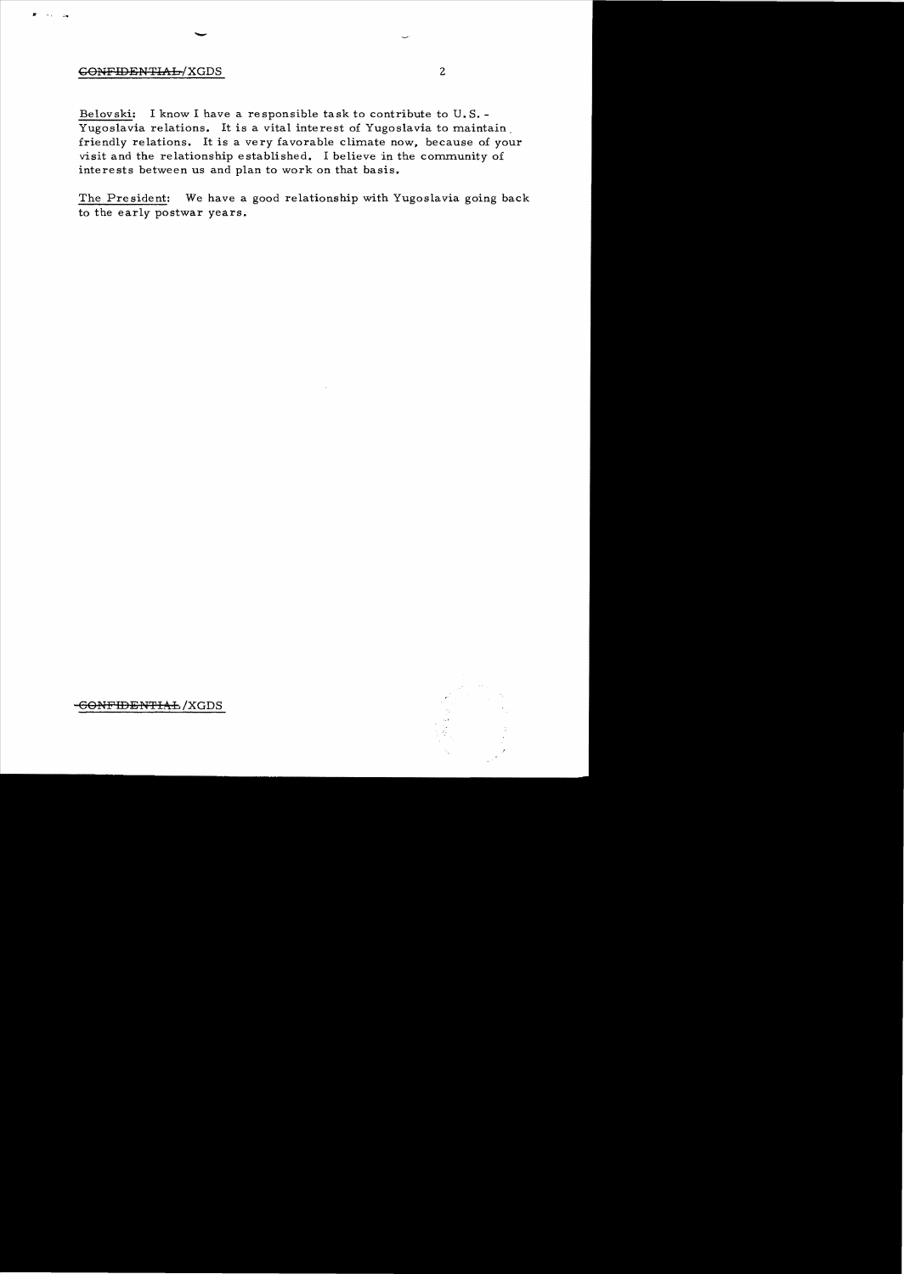## ~ONFIDENTIAL/XGDS 2

 $\rightarrow$   $\,$  $\Delta \omega$  -

Belovski: I know I have a re sponsible task to contribute to U. S. Yugoslavia relations. It is a vital interest of Yugoslavia to maintain. friendly relations. It is a *very* favorable climate now, because of your visit and the relationship established. I believe in the community of interests between us and plan to work on that basis.

The President: We have a good relationship with Yugoslavia going back to the early postwar years.



<del>CONFIDENTIAL</del>/XGDS